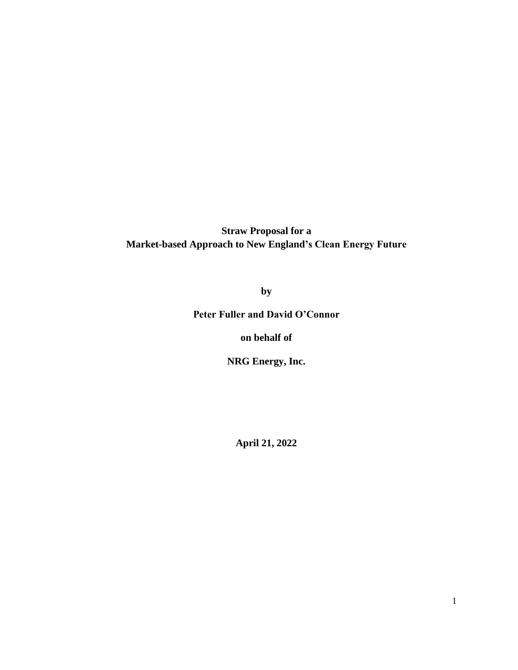# **Straw Proposal for a Market-based Approach to New England's Clean Energy Future**

**by**

**Peter Fuller and David O'Connor**

**on behalf of** 

**NRG Energy, Inc.**

**April 21, 2022**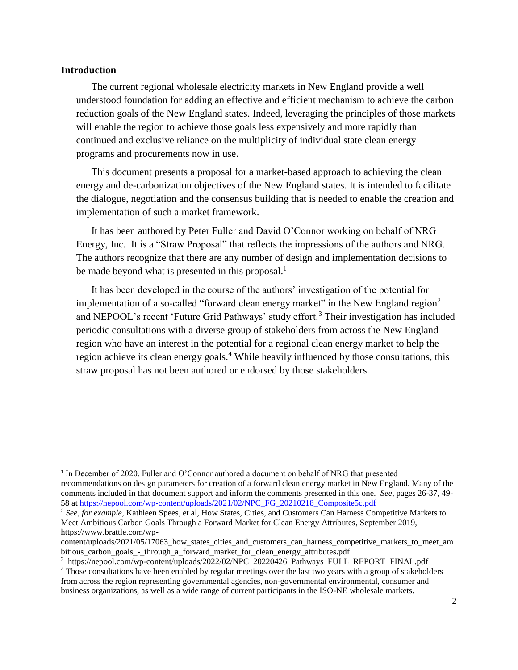#### **Introduction**

 $\overline{a}$ 

The current regional wholesale electricity markets in New England provide a well understood foundation for adding an effective and efficient mechanism to achieve the carbon reduction goals of the New England states. Indeed, leveraging the principles of those markets will enable the region to achieve those goals less expensively and more rapidly than continued and exclusive reliance on the multiplicity of individual state clean energy programs and procurements now in use.

This document presents a proposal for a market-based approach to achieving the clean energy and de-carbonization objectives of the New England states. It is intended to facilitate the dialogue, negotiation and the consensus building that is needed to enable the creation and implementation of such a market framework.

It has been authored by Peter Fuller and David O'Connor working on behalf of NRG Energy, Inc. It is a "Straw Proposal" that reflects the impressions of the authors and NRG. The authors recognize that there are any number of design and implementation decisions to be made beyond what is presented in this proposal.<sup>1</sup>

It has been developed in the course of the authors' investigation of the potential for implementation of a so-called "forward clean energy market" in the New England region<sup>2</sup> and NEPOOL's recent 'Future Grid Pathways' study effort.<sup>3</sup> Their investigation has included periodic consultations with a diverse group of stakeholders from across the New England region who have an interest in the potential for a regional clean energy market to help the region achieve its clean energy goals.<sup>4</sup> While heavily influenced by those consultations, this straw proposal has not been authored or endorsed by those stakeholders.

<sup>&</sup>lt;sup>1</sup> In December of 2020, Fuller and O'Connor authored a document on behalf of NRG that presented recommendations on design parameters for creation of a forward clean energy market in New England. Many of the comments included in that document support and inform the comments presented in this one. *See,* pages 26-37, 49- 58 at [https://nepool.com/wp-content/uploads/2021/02/NPC\\_FG\\_20210218\\_Composite5c.pdf](https://nepool.com/wp-content/uploads/2021/02/NPC_FG_20210218_Composite5c.pdf)

<sup>2</sup> *See, for example,* Kathleen Spees, et al, How States, Cities, and Customers Can Harness Competitive Markets to Meet Ambitious Carbon Goals Through a Forward Market for Clean Energy Attributes, September 2019, https://www.brattle.com/wp-

content/uploads/2021/05/17063\_how\_states\_cities\_and\_customers\_can\_harness\_competitive\_markets\_to\_meet\_am bitious carbon goals - through a forward market for clean energy attributes.pdf

<sup>&</sup>lt;sup>3</sup> https://nepool.com/wp-content/uploads/2022/02/NPC\_20220426\_Pathways\_FULL\_REPORT\_FINAL.pdf

<sup>&</sup>lt;sup>4</sup> Those consultations have been enabled by regular meetings over the last two years with a group of stakeholders from across the region representing governmental agencies, non-governmental environmental, consumer and business organizations, as well as a wide range of current participants in the ISO-NE wholesale markets.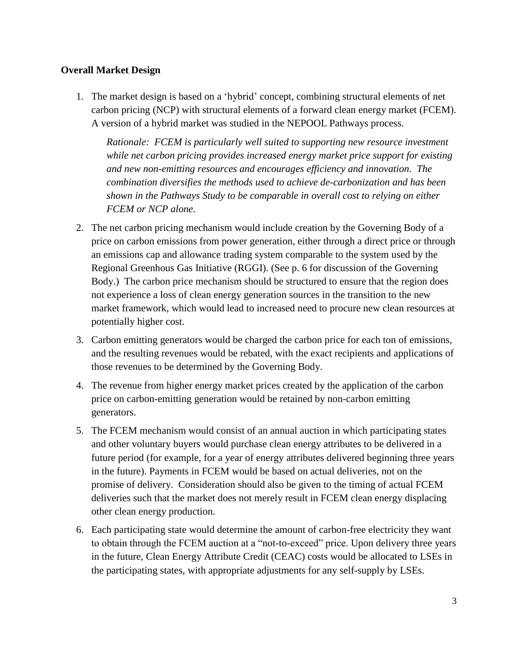# **Overall Market Design**

1. The market design is based on a 'hybrid' concept, combining structural elements of net carbon pricing (NCP) with structural elements of a forward clean energy market (FCEM). A version of a hybrid market was studied in the NEPOOL Pathways process.

*Rationale: FCEM is particularly well suited to supporting new resource investment while net carbon pricing provides increased energy market price support for existing and new non-emitting resources and encourages efficiency and innovation. The combination diversifies the methods used to achieve de-carbonization and has been shown in the Pathways Study to be comparable in overall cost to relying on either FCEM or NCP alone.*

- 2. The net carbon pricing mechanism would include creation by the Governing Body of a price on carbon emissions from power generation, either through a direct price or through an emissions cap and allowance trading system comparable to the system used by the Regional Greenhous Gas Initiative (RGGI). (See p. 6 for discussion of the Governing Body.) The carbon price mechanism should be structured to ensure that the region does not experience a loss of clean energy generation sources in the transition to the new market framework, which would lead to increased need to procure new clean resources at potentially higher cost.
- 3. Carbon emitting generators would be charged the carbon price for each ton of emissions, and the resulting revenues would be rebated, with the exact recipients and applications of those revenues to be determined by the Governing Body.
- 4. The revenue from higher energy market prices created by the application of the carbon price on carbon-emitting generation would be retained by non-carbon emitting generators.
- 5. The FCEM mechanism would consist of an annual auction in which participating states and other voluntary buyers would purchase clean energy attributes to be delivered in a future period (for example, for a year of energy attributes delivered beginning three years in the future). Payments in FCEM would be based on actual deliveries, not on the promise of delivery. Consideration should also be given to the timing of actual FCEM deliveries such that the market does not merely result in FCEM clean energy displacing other clean energy production.
- 6. Each participating state would determine the amount of carbon-free electricity they want to obtain through the FCEM auction at a "not-to-exceed" price. Upon delivery three years in the future, Clean Energy Attribute Credit (CEAC) costs would be allocated to LSEs in the participating states, with appropriate adjustments for any self-supply by LSEs.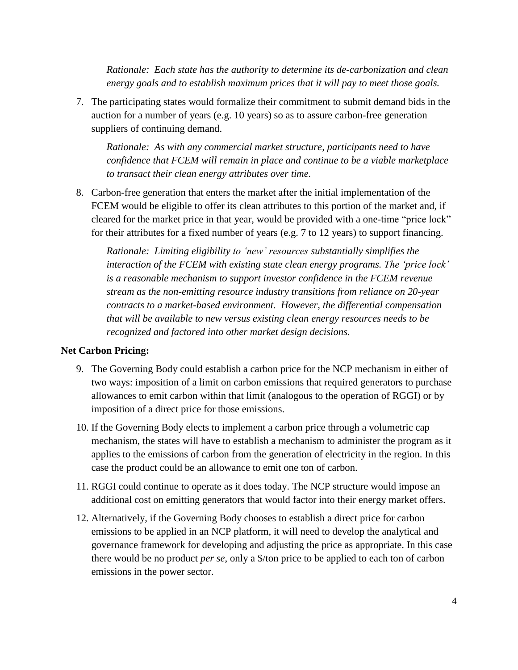*Rationale: Each state has the authority to determine its de-carbonization and clean energy goals and to establish maximum prices that it will pay to meet those goals.* 

7. The participating states would formalize their commitment to submit demand bids in the auction for a number of years (e.g. 10 years) so as to assure carbon-free generation suppliers of continuing demand.

*Rationale: As with any commercial market structure, participants need to have confidence that FCEM will remain in place and continue to be a viable marketplace to transact their clean energy attributes over time.*

8. Carbon-free generation that enters the market after the initial implementation of the FCEM would be eligible to offer its clean attributes to this portion of the market and, if cleared for the market price in that year, would be provided with a one-time "price lock" for their attributes for a fixed number of years (e.g. 7 to 12 years) to support financing.

*Rationale: Limiting eligibility to 'new' resources substantially simplifies the interaction of the FCEM with existing state clean energy programs. The 'price lock' is a reasonable mechanism to support investor confidence in the FCEM revenue stream as the non-emitting resource industry transitions from reliance on 20-year contracts to a market-based environment. However, the differential compensation that will be available to new versus existing clean energy resources needs to be recognized and factored into other market design decisions.*

## **Net Carbon Pricing:**

- 9. The Governing Body could establish a carbon price for the NCP mechanism in either of two ways: imposition of a limit on carbon emissions that required generators to purchase allowances to emit carbon within that limit (analogous to the operation of RGGI) or by imposition of a direct price for those emissions.
- 10. If the Governing Body elects to implement a carbon price through a volumetric cap mechanism, the states will have to establish a mechanism to administer the program as it applies to the emissions of carbon from the generation of electricity in the region. In this case the product could be an allowance to emit one ton of carbon.
- 11. RGGI could continue to operate as it does today. The NCP structure would impose an additional cost on emitting generators that would factor into their energy market offers.
- 12. Alternatively, if the Governing Body chooses to establish a direct price for carbon emissions to be applied in an NCP platform, it will need to develop the analytical and governance framework for developing and adjusting the price as appropriate. In this case there would be no product *per se*, only a \$/ton price to be applied to each ton of carbon emissions in the power sector.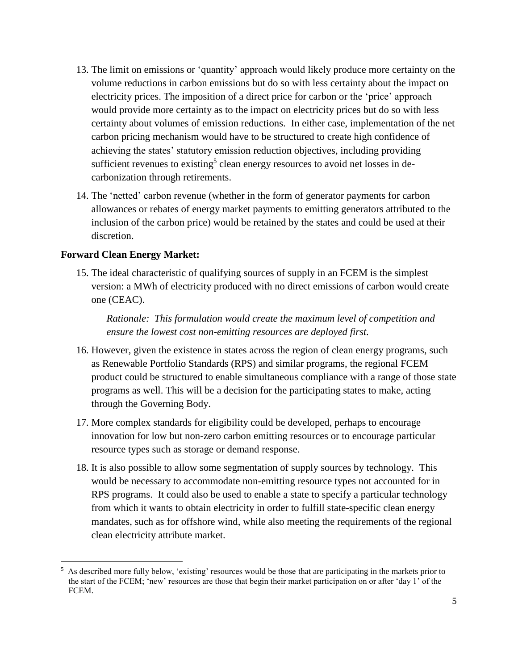- 13. The limit on emissions or 'quantity' approach would likely produce more certainty on the volume reductions in carbon emissions but do so with less certainty about the impact on electricity prices. The imposition of a direct price for carbon or the 'price' approach would provide more certainty as to the impact on electricity prices but do so with less certainty about volumes of emission reductions. In either case, implementation of the net carbon pricing mechanism would have to be structured to create high confidence of achieving the states' statutory emission reduction objectives, including providing sufficient revenues to existing<sup>5</sup> clean energy resources to avoid net losses in decarbonization through retirements.
- 14. The 'netted' carbon revenue (whether in the form of generator payments for carbon allowances or rebates of energy market payments to emitting generators attributed to the inclusion of the carbon price) would be retained by the states and could be used at their discretion.

## **Forward Clean Energy Market:**

 $\overline{\phantom{a}}$ 

15. The ideal characteristic of qualifying sources of supply in an FCEM is the simplest version: a MWh of electricity produced with no direct emissions of carbon would create one (CEAC).

*Rationale: This formulation would create the maximum level of competition and ensure the lowest cost non-emitting resources are deployed first.*

- 16. However, given the existence in states across the region of clean energy programs, such as Renewable Portfolio Standards (RPS) and similar programs, the regional FCEM product could be structured to enable simultaneous compliance with a range of those state programs as well. This will be a decision for the participating states to make, acting through the Governing Body.
- 17. More complex standards for eligibility could be developed, perhaps to encourage innovation for low but non-zero carbon emitting resources or to encourage particular resource types such as storage or demand response.
- 18. It is also possible to allow some segmentation of supply sources by technology. This would be necessary to accommodate non-emitting resource types not accounted for in RPS programs. It could also be used to enable a state to specify a particular technology from which it wants to obtain electricity in order to fulfill state-specific clean energy mandates, such as for offshore wind, while also meeting the requirements of the regional clean electricity attribute market.

<sup>5</sup> As described more fully below, 'existing' resources would be those that are participating in the markets prior to the start of the FCEM; 'new' resources are those that begin their market participation on or after 'day 1' of the FCEM.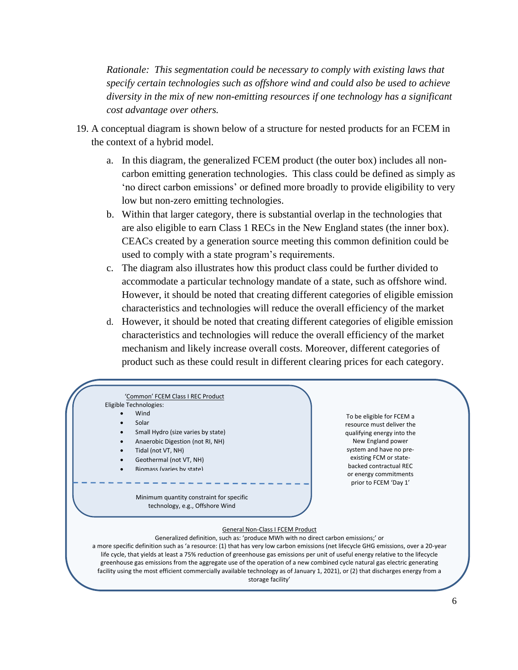*Rationale: This segmentation could be necessary to comply with existing laws that specify certain technologies such as offshore wind and could also be used to achieve diversity in the mix of new non-emitting resources if one technology has a significant cost advantage over others.*

- 19. A conceptual diagram is shown below of a structure for nested products for an FCEM in the context of a hybrid model.
	- a. In this diagram, the generalized FCEM product (the outer box) includes all noncarbon emitting generation technologies. This class could be defined as simply as 'no direct carbon emissions' or defined more broadly to provide eligibility to very low but non-zero emitting technologies.
	- b. Within that larger category, there is substantial overlap in the technologies that are also eligible to earn Class 1 RECs in the New England states (the inner box). CEACs created by a generation source meeting this common definition could be used to comply with a state program's requirements.
	- c. The diagram also illustrates how this product class could be further divided to accommodate a particular technology mandate of a state, such as offshore wind. However, it should be noted that creating different categories of eligible emission characteristics and technologies will reduce the overall efficiency of the market
	- d. However, it should be noted that creating different categories of eligible emission characteristics and technologies will reduce the overall efficiency of the market mechanism and likely increase overall costs. Moreover, different categories of product such as these could result in different clearing prices for each category.

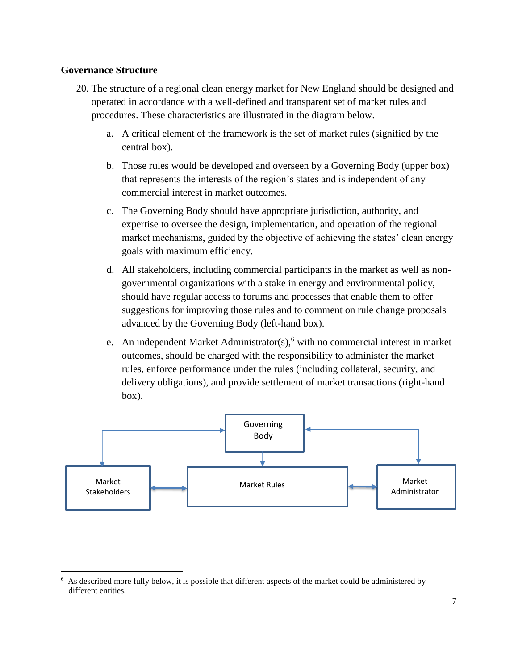# **Governance Structure**

- 20. The structure of a regional clean energy market for New England should be designed and operated in accordance with a well-defined and transparent set of market rules and procedures. These characteristics are illustrated in the diagram below.
	- a. A critical element of the framework is the set of market rules (signified by the central box).
	- b. Those rules would be developed and overseen by a Governing Body (upper box) that represents the interests of the region's states and is independent of any commercial interest in market outcomes.
	- c. The Governing Body should have appropriate jurisdiction, authority, and expertise to oversee the design, implementation, and operation of the regional market mechanisms, guided by the objective of achieving the states' clean energy goals with maximum efficiency.
	- d. All stakeholders, including commercial participants in the market as well as nongovernmental organizations with a stake in energy and environmental policy, should have regular access to forums and processes that enable them to offer suggestions for improving those rules and to comment on rule change proposals advanced by the Governing Body (left-hand box).
	- e. An independent Market Administrator(s),<sup>6</sup> with no commercial interest in market outcomes, should be charged with the responsibility to administer the market rules, enforce performance under the rules (including collateral, security, and delivery obligations), and provide settlement of market transactions (right-hand box).



l 6 As described more fully below, it is possible that different aspects of the market could be administered by different entities.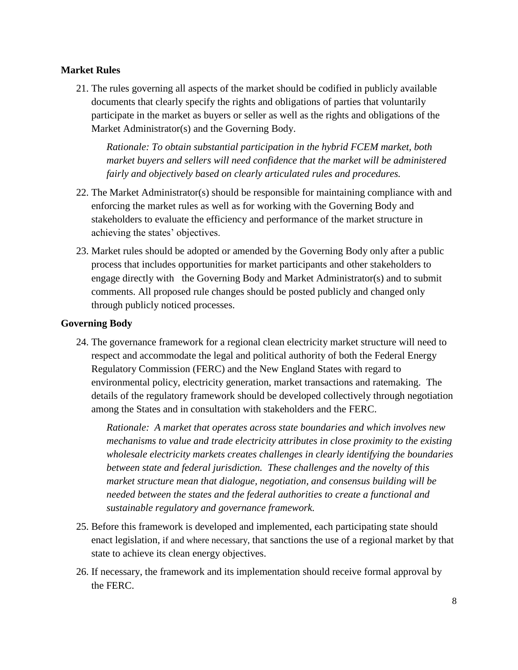# **Market Rules**

21. The rules governing all aspects of the market should be codified in publicly available documents that clearly specify the rights and obligations of parties that voluntarily participate in the market as buyers or seller as well as the rights and obligations of the Market Administrator(s) and the Governing Body.

*Rationale: To obtain substantial participation in the hybrid FCEM market, both market buyers and sellers will need confidence that the market will be administered fairly and objectively based on clearly articulated rules and procedures.*

- 22. The Market Administrator(s) should be responsible for maintaining compliance with and enforcing the market rules as well as for working with the Governing Body and stakeholders to evaluate the efficiency and performance of the market structure in achieving the states' objectives.
- 23. Market rules should be adopted or amended by the Governing Body only after a public process that includes opportunities for market participants and other stakeholders to engage directly with the Governing Body and Market Administrator(s) and to submit comments. All proposed rule changes should be posted publicly and changed only through publicly noticed processes.

## **Governing Body**

24. The governance framework for a regional clean electricity market structure will need to respect and accommodate the legal and political authority of both the Federal Energy Regulatory Commission (FERC) and the New England States with regard to environmental policy, electricity generation, market transactions and ratemaking. The details of the regulatory framework should be developed collectively through negotiation among the States and in consultation with stakeholders and the FERC.

*Rationale: A market that operates across state boundaries and which involves new mechanisms to value and trade electricity attributes in close proximity to the existing wholesale electricity markets creates challenges in clearly identifying the boundaries between state and federal jurisdiction. These challenges and the novelty of this market structure mean that dialogue, negotiation, and consensus building will be needed between the states and the federal authorities to create a functional and sustainable regulatory and governance framework.*

- 25. Before this framework is developed and implemented, each participating state should enact legislation, if and where necessary, that sanctions the use of a regional market by that state to achieve its clean energy objectives.
- 26. If necessary, the framework and its implementation should receive formal approval by the FERC.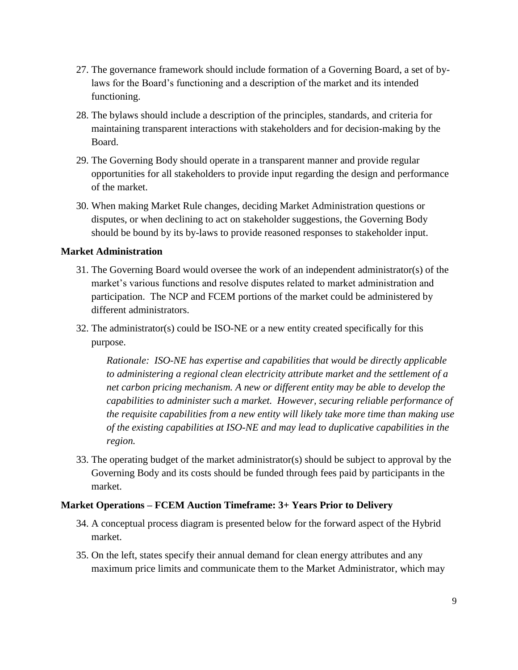- 27. The governance framework should include formation of a Governing Board, a set of bylaws for the Board's functioning and a description of the market and its intended functioning.
- 28. The bylaws should include a description of the principles, standards, and criteria for maintaining transparent interactions with stakeholders and for decision-making by the Board.
- 29. The Governing Body should operate in a transparent manner and provide regular opportunities for all stakeholders to provide input regarding the design and performance of the market.
- 30. When making Market Rule changes, deciding Market Administration questions or disputes, or when declining to act on stakeholder suggestions, the Governing Body should be bound by its by-laws to provide reasoned responses to stakeholder input.

# **Market Administration**

- 31. The Governing Board would oversee the work of an independent administrator(s) of the market's various functions and resolve disputes related to market administration and participation. The NCP and FCEM portions of the market could be administered by different administrators.
- 32. The administrator(s) could be ISO-NE or a new entity created specifically for this purpose.

*Rationale: ISO-NE has expertise and capabilities that would be directly applicable to administering a regional clean electricity attribute market and the settlement of a net carbon pricing mechanism. A new or different entity may be able to develop the capabilities to administer such a market. However, securing reliable performance of the requisite capabilities from a new entity will likely take more time than making use of the existing capabilities at ISO-NE and may lead to duplicative capabilities in the region.* 

33. The operating budget of the market administrator(s) should be subject to approval by the Governing Body and its costs should be funded through fees paid by participants in the market.

## **Market Operations – FCEM Auction Timeframe: 3+ Years Prior to Delivery**

- 34. A conceptual process diagram is presented below for the forward aspect of the Hybrid market.
- 35. On the left, states specify their annual demand for clean energy attributes and any maximum price limits and communicate them to the Market Administrator, which may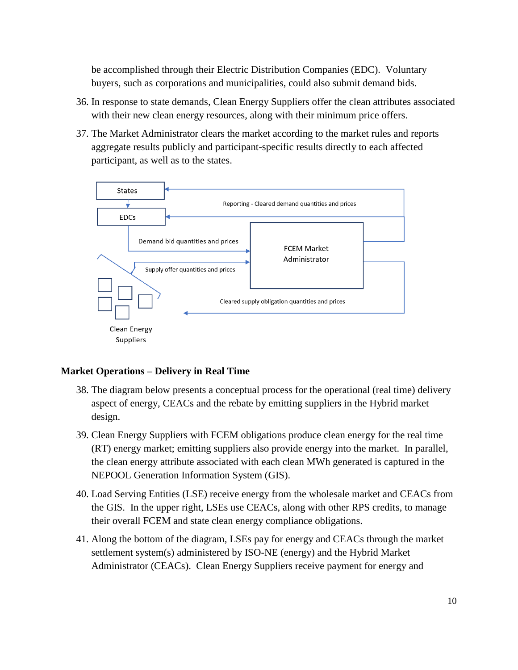be accomplished through their Electric Distribution Companies (EDC). Voluntary buyers, such as corporations and municipalities, could also submit demand bids.

- 36. In response to state demands, Clean Energy Suppliers offer the clean attributes associated with their new clean energy resources, along with their minimum price offers.
- 37. The Market Administrator clears the market according to the market rules and reports aggregate results publicly and participant-specific results directly to each affected participant, as well as to the states.



## **Market Operations – Delivery in Real Time**

- 38. The diagram below presents a conceptual process for the operational (real time) delivery aspect of energy, CEACs and the rebate by emitting suppliers in the Hybrid market design.
- 39. Clean Energy Suppliers with FCEM obligations produce clean energy for the real time (RT) energy market; emitting suppliers also provide energy into the market. In parallel, the clean energy attribute associated with each clean MWh generated is captured in the NEPOOL Generation Information System (GIS).
- 40. Load Serving Entities (LSE) receive energy from the wholesale market and CEACs from the GIS. In the upper right, LSEs use CEACs, along with other RPS credits, to manage their overall FCEM and state clean energy compliance obligations.
- 41. Along the bottom of the diagram, LSEs pay for energy and CEACs through the market settlement system(s) administered by ISO-NE (energy) and the Hybrid Market Administrator (CEACs). Clean Energy Suppliers receive payment for energy and